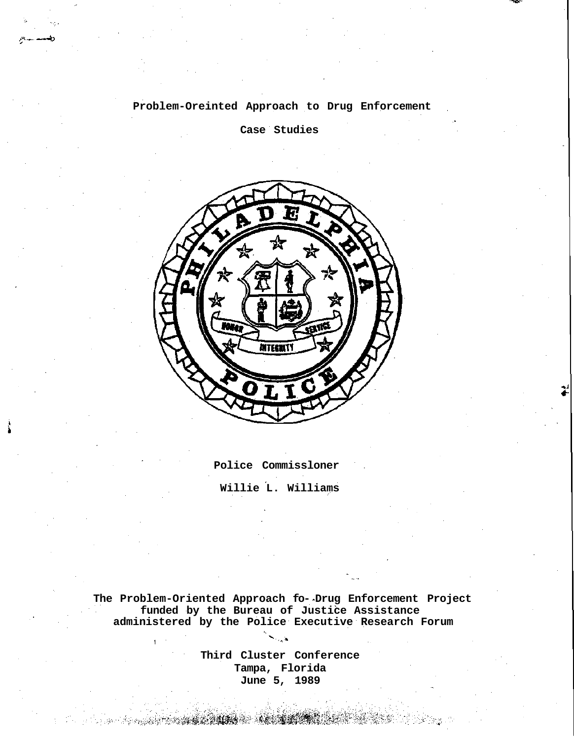**Problem-Oreinted Approach to Drug Enforcement**

**Case Studies**



**Police Commissloner Willie L. Williams**

**The Problem-Oriented Approach fo- Drug Enforcement Project funded by the Bureau of Justice Assistance administered by the Police Executive Research Forum**

> **Third Cluster Conference Tampa, Florida June 5, 1989**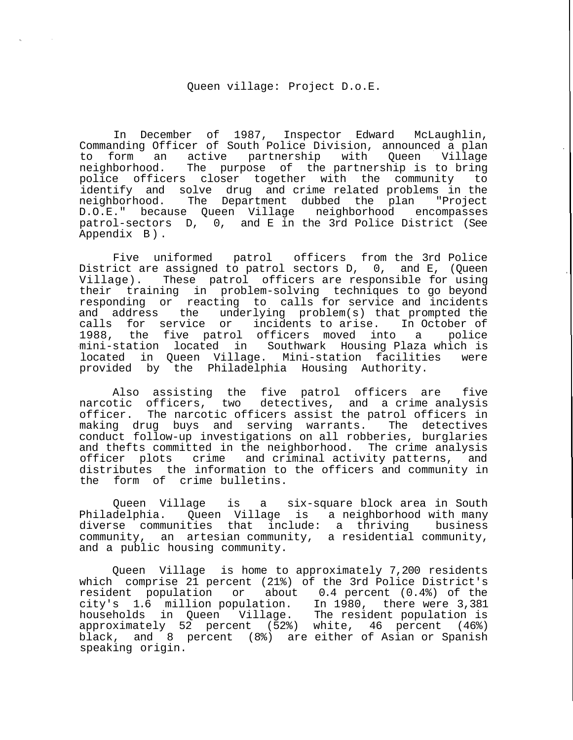## Queen village: Project D.o.E.

In December of 1987, Inspector Edward McLaughlin, Commanding Officer of South Police Division, announced a plan to form an active partnership with Queen Village<br>neighborhood. The purpose of the-partnership is to-bring The purpose of the partnership is to bring police officers closer together with the community to identify and solve drug and crime related problems in the neighborhood. The Department dubbed the plan "Project D.O.E." because Queen Village neighborhood encompasses patrol-sectors D, 0, and E in the 3rd Police District (See Appendix B) .

Five uniformed patrol officers from the 3rd Police District are assigned to patrol sectors D, 0, and E, (Queen Village). These patrol officers are responsible for using their training in problem-solving techniques to go beyond responding or reacting to calls for service and incidents and address the underlying problem(s) that prompted the calls for service or incidents to arise. In October of 1988, the five patrol officers moved into a police mini-station located in Southwark Housing Plaza which is located in Queen Village. Mini-station facilities were provided by the Philadelphia Housing Authority.

Also assisting the five patrol officers are five narcotic officers, two detectives, and a crime analysis officer. The narcotic officers assist the patrol officers in making drug buys and serving warrants. The detectives conduct follow-up investigations on all robberies, burglaries and thefts committed in the neighborhood. The crime analysis officer plots crime and criminal activity patterns, and distributes the information to the officers and community in the form of crime bulletins.

Queen Village is a six-square block area in South Philadelphia. Queen Village is a neighborhood with many diverse communities that include: a thriving business community, an artesian community, a residential community, and a public housing community.

Queen Village is home to approximately 7,200 residents which comprise 21 percent (21%) of the 3rd Police District's resident population or about 0.4 percent (0.4%) of the city's 1.6 million population. In 1980, there were 3,381 households in Queen Village. The resident population is approximately 52 percent (52%) white, 46 percent (46%) black, and 8 percent (8%) are either of Asian or Spanish speaking origin.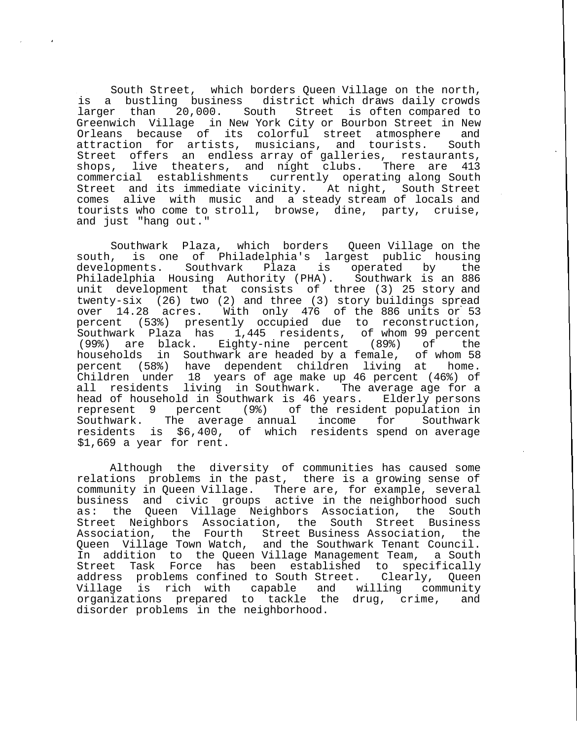South Street, which borders Queen Village on the north, is a bustling business district which draws daily crowds larger than 20,000. South Street is often compared to Greenwich Village in New York City or Bourbon Street in New Orleans because of its colorful street atmosphere and attraction for artists, musicians, and tourists. South Street offers an endless array of galleries, restaurants,<br>shops, live theaters, and night clubs. There are 413 live theaters, and night clubs. There are 413 commercial establishments currently operating along South Street and its immediate vicinity. At night, South Street comes alive with music and a steady stream of locals and tourists who come to stroll, browse, dine, party, cruise, and just "hang out."

Southwark Plaza, which borders Queen Village on the south, is one of Philadelphia's largest public housing developments. Southvark Plaza is operated by the Philadelphia Housing Authority (PHA). Southwark is an 886 unit development that consists of three (3) 25 story and twenty-six (26) two (2) and three (3) story buildings spread over 14.28 acres. With only 476 of the 886 units or 53 percent (53%) presently occupied due to reconstruction, Southwark Plaza has 1,445 residents, of whom 99 percent (99%) are black. Eighty-nine percent (89%) of the households in Southwark are headed by a female, of whom 58 percent (58%) have dependent children living at home. Children under 18 years of age make up 46 percent (46%) of all residents living in Southwark. The average age for a head of household in Southwark is 46 years. Elderly persons represent 9 percent (9%) of the resident population in Southwark. The average annual income for Southwark residents is \$6,400, of which residents spend on average \$1,669 a year for rent.

Although the diversity of communities has caused some relations problems in the past, there is a growing sense of community in Queen Village. There are, for example, several business and civic groups active in the neighborhood such as: the Queen Village Neighbors Association, the South Street Neighbors Association, the South Street Business Association, the Fourth Street Business Association, the Queen Village Town Watch, and the Southwark Tenant Council. In addition to the Queen Village Management Team, a South Street Task Force has been established to specifically address problems confined to South Street. Clearly, Queen Village is rich with capable and willing community organizations prepared to tackle the drug, crime, and disorder problems in the neighborhood.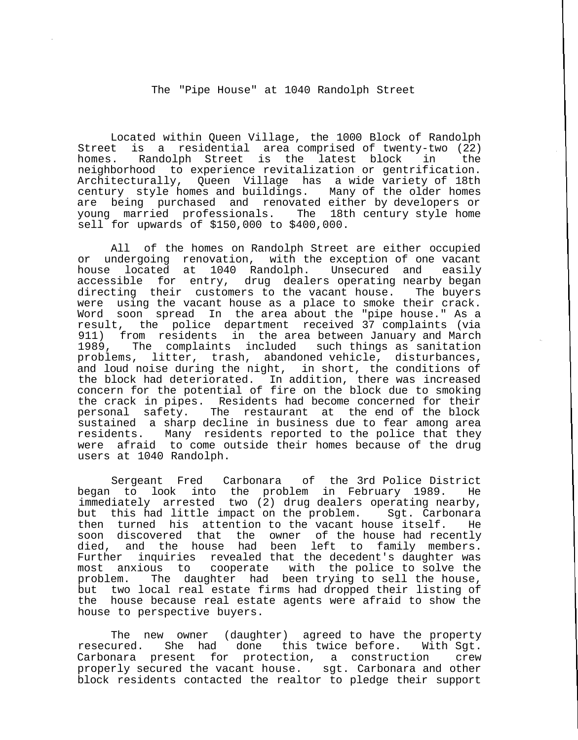The "Pipe House" at 1040 Randolph Street

Located within Queen Village, the 1000 Block of Randolph Street is a residential area comprised of twenty-two (22) homes. Randolph Street is the latest block in the neighborhood to experience revitalization or gentrification. Architecturally, Queen Village has a wide variety of 18th century style homes and buildings. Many of the older homes are being purchased and renovated either by developers or young married professionals. The 18th century style home sell for upwards of \$150,000 to \$400,000.

All of the homes on Randolph Street are either occupied or undergoing renovation, with the exception of one vacant<br>house located at 1040 Randolph. Unsecured and easily house located at 1040 Randolph. Unsecured and easily accessible for entry, drug dealers operating nearby began directing their customers to the vacant house. The buyers were using the vacant house as a place to smoke their crack. Word soon spread In the area about the "pipe house." As a result, the police department received 37 complaints (via 911) from residents in the area between January and March 1989, The complaints included such things as sanitation problems, litter, trash, abandoned vehicle, disturbances, and loud noise during the night, in short, the conditions of the block had deteriorated. In addition, there was increased concern for the potential of fire on the block due to smoking the crack in pipes. Residents had become concerned for their personal safety. The restaurant at the end of the block sustained a sharp decline in business due to fear among area residents. Many residents reported to the police that they were afraid to come outside their homes because of the drug users at 1040 Randolph.

Sergeant Fred Carbonara of the 3rd Police District began to look into the problem in February 1989. He immediately arrested two (2) drug dealers operating nearby, but this had little impact on the problem. Sgt. Carbonara then turned his attention to the vacant house itself. He soon discovered that the owner of the house had recently died, and the house had been left to family members. Further inquiries revealed that the decedent's daughter was most anxious to cooperate with the police to solve the problem. The daughter had been trying to sell the house, but two local real estate firms had dropped their listing of the house because real estate agents were afraid to show the house to perspective buyers.

The new owner (daughter) agreed to have the property resecured. She had done this twice before. With Sgt. Carbonara present for protection, a construction crew properly secured the vacant house. sgt. Carbonara and other block residents contacted the realtor to pledge their support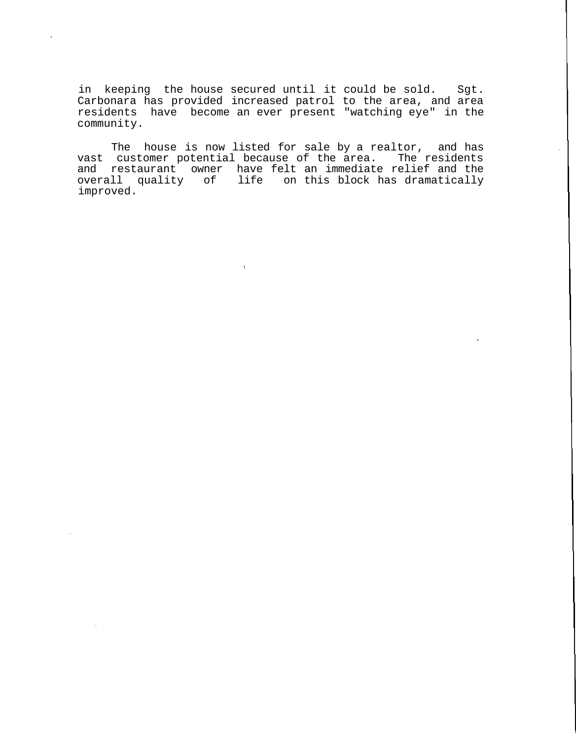in keeping the house secured until it could be sold. Sgt. Carbonara has provided increased patrol to the area, and area residents have become an ever present "watching eye" in the community.

The house is now listed for sale by a realtor, and has vast customer potential because of the area. The residents and restaurant owner have felt an immediate relief and the overall quality of life on this block has dramatically improved.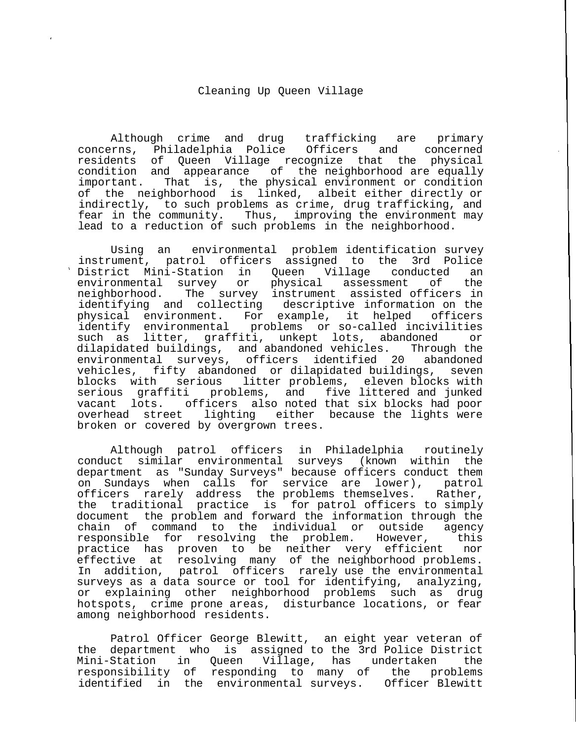## Cleaning Up Queen Village

Although crime and drug trafficking are primary concerns, Philadelphia Police Officers and concerned residents of Queen Village recognize that the physical condition and appearance of the neighborhood are equally important. That is, the physical environment or condition of the neighborhood is linked, albeit either directly or indirectly, to such problems as crime, drug trafficking, and fear in the community. Thus, improving the environment may lead to a reduction of such problems in the neighborhood.

Using an environmental problem identification survey instrument, patrol officers assigned to the 3rd Police District Mini-Station in Queen Village conducted an environmental survey or physical assessment of the neighborhood. The survey instrument assisted officers in identifying and collecting descriptive information on the physical environment. For example, it helped officers identify environmental problems or so-called incivilities such as litter, graffiti, unkept lots, abandoned or dilapidated buildings, and abandoned vehicles. Through the environmental surveys, officers identified 20 abandoned vehicles, fifty abandoned or dilapidated buildings, seven blocks with serious litter problems, eleven blocks with serious graffiti problems, and five littered and junked vacant lots. officers also noted that six blocks had poor overhead street lighting either because the lights were broken or covered by overgrown trees.

Although patrol officers in Philadelphia routinely conduct similar environmental surveys (known within the department as "Sunday Surveys" because officers conduct them on Sundays when calls for service are lower), patrol officers rarely address the problems themselves. Rather, the traditional practice is for patrol officers to simply document the problem and forward the information through the chain of command to the individual or outside agency responsible for resolving the problem. However, this practice has proven to be neither very efficient nor effective at resolving many of the neighborhood problems. In addition, patrol officers rarely use the environmental surveys as a data source or tool for identifying, analyzing, or explaining other neighborhood problems such as drug hotspots, crime prone areas, disturbance locations, or fear among neighborhood residents.

Patrol Officer George Blewitt, an eight year veteran of the department who is assigned to the 3rd Police District Mini-Station in Queen Village, has undertaken the responsibility of responding to many of the problems identified in the environmental surveys. Officer Blewitt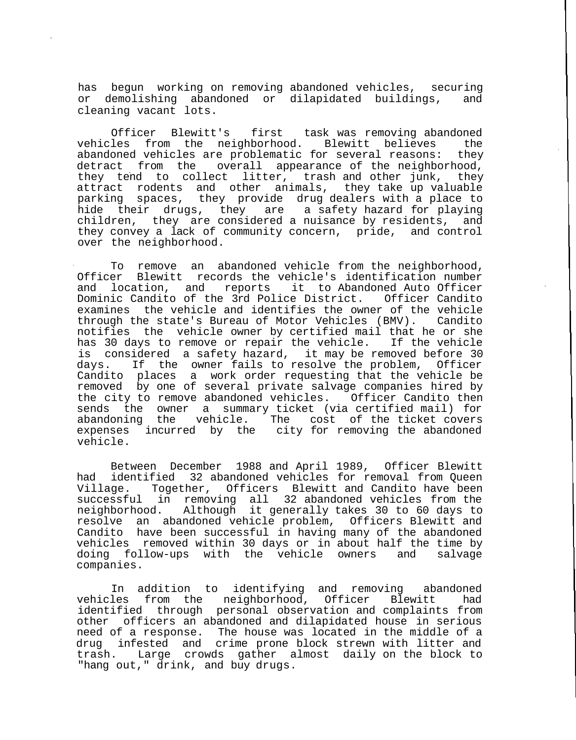has begun working on removing abandoned vehicles, securing or demolishing abandoned or dilapidated buildings, and cleaning vacant lots.

Officer Blewitt's first task was removing abandoned vehicles from the neighborhood. Blewitt believes the abandoned vehicles are problematic for several reasons: they detract from the overall appearance of the neighborhood, they tend to collect litter, trash and other junk, they attract rodents and other animals, they take up valuable parking spaces, they provide drug dealers with a place to hide their drugs, they are a safety hazard for playing children, they are considered a nuisance by residents, and they convey a lack of community concern, pride, and control over the neighborhood.

To remove an abandoned vehicle from the neighborhood, Officer Blewitt records the vehicle's identification number<br>and location, and reports it to Abandoned Auto Officer and location, and reports it to Abandoned Auto Officer Dominic Candito of the 3rd Police District. examines the vehicle and identifies the owner of the vehicle through the state's Bureau of Motor Vehicles (BMV). Candito notifies the vehicle owner by certified mail that he or she has 30 days to remove or repair the vehicle. If the vehicle is considered a safety hazard, it may be removed before 30 days. If the owner fails to resolve the problem, Officer Candito places a work order requesting that the vehicle be removed by one of several private salvage companies hired by the city to remove abandoned vehicles. Officer Candito then sends the owner a summary ticket (via certified mail) for abandoning the vehicle. The cost of the ticket covers expenses incurred by the city for removing the abandoned vehicle.

Between December 1988 and April 1989, Officer Blewitt had identified 32 abandoned vehicles for removal from Queen Village. Together, Officers Blewitt and Candito have been successful in removing all 32 abandoned vehicles from the neighborhood. Although it generally takes 30 to 60 days to resolve an abandoned vehicle problem, Officers Blewitt and Candito have been successful in having many of the abandoned vehicles removed within 30 days or in about half the time by doing follow-ups with the vehicle owners and salvage companies.

In addition to identifying and removing abandoned<br>les from the neighborhood, Officer Blewitt had vehicles from the neighborhood, Officer Blewitt had identified through personal observation and complaints from other officers an abandoned and dilapidated house in serious need of a response. The house was located in the middle of a drug infested and crime prone block strewn with litter and trash. Large crowds gather almost daily on the block to "hang out," drink, and buy drugs.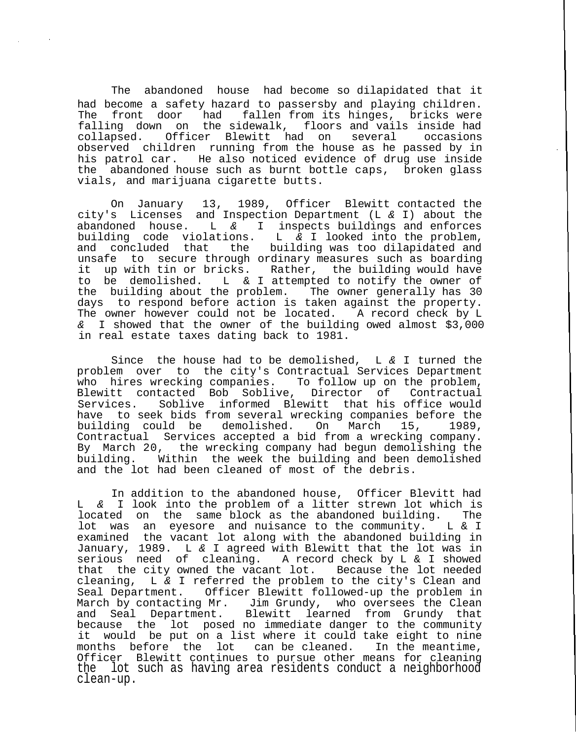The abandoned house had become so dilapidated that it had become a safety hazard to passersby and playing children. The front door had fallen from its hinges, bricks were falling down on the sidewalk, floors and vails inside had collapsed. Officer Blewitt had on several occasions observed children running from the house as he passed by in his patrol car. He also noticed evidence of drug use inside the abandoned house such as burnt bottle caps, broken glass vials, and marijuana cigarette butts.

On January 13, 1989, Officer Blewitt contacted the city's Licenses and Inspection Department (L & I) about the abandoned house. L  $\&$  I inspects buildings and enforces building code violations. L  $\&$  I looked into the problem, building code violations. L & I looked into the problem,<br>and concluded that the building was too dilapidated and the building was too dilapidated and unsafe to secure through ordinary measures such as boarding it up with tin or bricks. Rather, the building would have to be demolished. L & I attempted to notify the owner of the building about the problem. The owner generally has 30 days to respond before action is taken against the property. The owner however could not be located. A record check by L & I showed that the owner of the building owed almost \$3,000 in real estate taxes dating back to 1981.

Since the house had to be demolished,  $L \& I$  turned the problem over to the city's Contractual Services Department who hires wrecking companies. To follow up on the problem, Blewitt contacted Bob Soblive, Director of Contractual Services. Soblive informed Blewitt that his office would have to seek bids from several wrecking companies before the building could be demolished. On March 15, 1989, Contractual Services accepted a bid from a wrecking company. By March 20, the wrecking company had begun demolishing the building. Within the week the building and been demolished and the lot had been cleaned of most of the debris.

In addition to the abandoned house, Officer Blevitt had L & I look into the problem of a litter strewn lot which is located on the same block as the abandoned building. The lot was an eyesore and nuisance to the community. L & I examined the vacant lot along with the abandoned building in January, 1989. L & I agreed with Blewitt that the lot was in serious need of cleaning. A record check by L & I showed that the city owned the vacant lot. Because the lot needed cleaning, L & I referred the problem to the city's Clean and Seal Department. Officer Blewitt followed-up the problem in March by contacting Mr. Jim Grundy, who oversees the Clean and Seal Department. Blewitt learned from Grundy that because the lot posed no immediate danger to the community it would be put on a list where it could take eight to nine<br>months before the lot can be cleaned. In the meantime, months before the lot can be cleaned. Officer Blewitt continues to pursue other means for cleaning the lot such as having area residents conduct a neighborhood clean-up.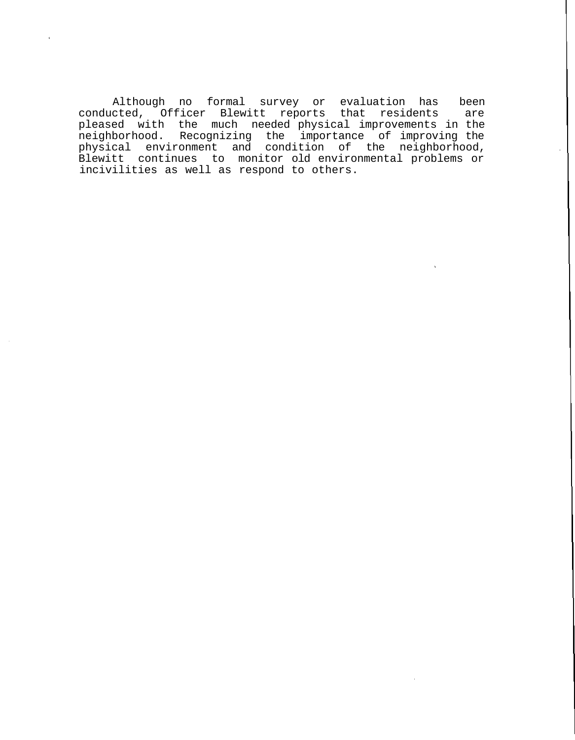Although no formal survey or evaluation has been conducted, Officer Blewitt reports that residents are pleased with the much needed physical improvements in the neighborhood. Recognizing the importance of improving the physical environment and condition of the neighborhood, Blewitt continues to monitor old environmental problems or incivilities as well as respond to others.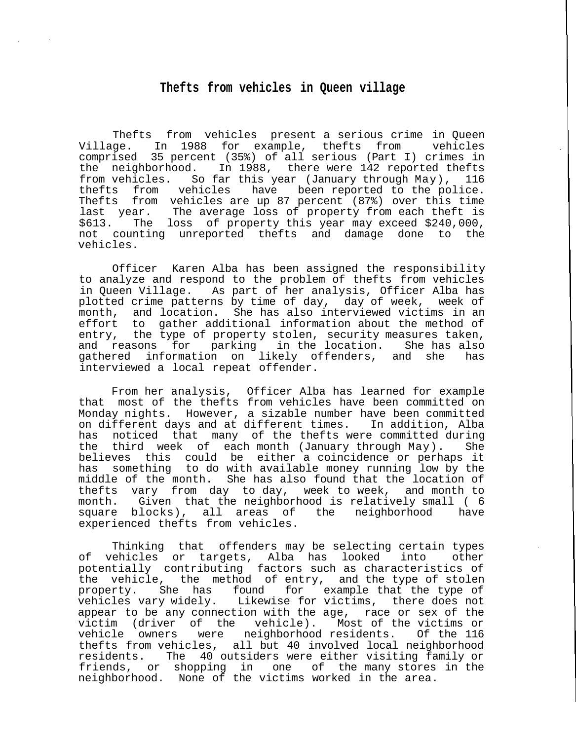## **Thefts from vehicles in Queen village**

Thefts from vehicles present a serious crime in Queen Village. In 1988 for example, thefts from vehicles comprised 35 percent (35%) of all serious (Part I) crimes in the neighborhood. In 1988, there were 142 reported thefts from vehicles. So far this year (January through May), 116 thefts from vehicles have been reported to the police. Thefts from vehicles are up 87 percent (87%) over this time last year. The average loss of property from each theft is \$613. The loss of property this year may exceed \$240,000, not counting unreported thefts and damage done to the vehicles.

Officer Karen Alba has been assigned the responsibility to analyze and respond to the problem of thefts from vehicles in Queen Village. As part of her analysis, Officer Alba has plotted crime patterns by time of day, day of week, week of month, and location. She has also interviewed victims in an effort to gather additional information about the method of entry, the type of property stolen, security measures taken, and reasons for parking in the location. She has also gathered information on likely offenders, and she has interviewed a local repeat offender.

From her analysis, Officer Alba has learned for example that most of the thefts from vehicles have been committed on Monday nights. However, a sizable number have been committed on different days and at different times. In addition, Alba has noticed that many of the thefts were committed during the third week of each month (January through May). She believes this could be either a coincidence or perhaps it has something to do with available money running low by the middle of the month. She has also found that the location of thefts vary from day to day, week to week, and month to month. Given that the neighborhood is relatively small ( 6 square blocks), all areas of the neighborhood have experienced thefts from vehicles.

Thinking that offenders may be selecting certain types of vehicles or targets, Alba has looked into other potentially contributing factors such as characteristics of the vehicle, the method of entry, and the type of stolen property. She has found for example that the type of vehicles vary widely. Likewise for victims, there does not appear to be any connection with the age, race or sex of the victim (driver of the vehicle). Most of the victims or vehicle owners were neighborhood residents. Of the 116 thefts from vehicles, all but 40 involved local neighborhood<br>residents. The 40 outsiders were either visiting family or The 40 outsiders were either visiting family or friends, or shopping in one of the many stores in the neighborhood. None of the victims worked in the area.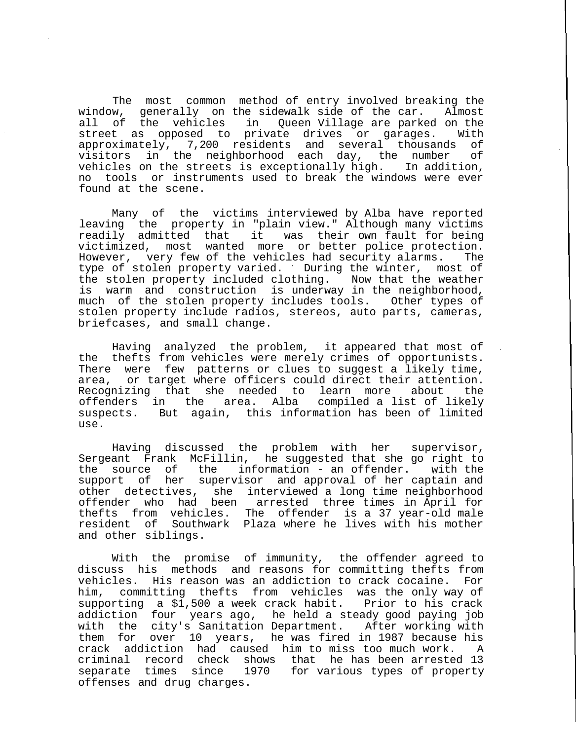The most common method of entry involved breaking the window, generally on the sidewalk side of the car. Almost all of the vehicles in Queen Village are parked on the street as opposed to private drives or garages. With approximately, 7,200 residents and several thousands of visitors in the neighborhood each day, the number of vehicles on the streets is exceptionally high. In addition, no tools or instruments used to break the windows were ever found at the scene.

Many of the victims interviewed by Alba have reported leaving the property in "plain view." Although many victims readily admitted that it was their own fault for being victimized, most wanted more or better police protection. However, very few of the vehicles had security alarms. The type of stolen property varied. During the winter, most of the stolen property included clothing. Now that the weather is warm and construction is underway in the neighborhood, much of the stolen property includes tools. Other types of stolen property include radios, stereos, auto parts, cameras, briefcases, and small change.

Having analyzed the problem, it appeared that most of the thefts from vehicles were merely crimes of opportunists. There were few patterns or clues to suggest a likely time, area, or target where officers could direct their attention. Recognizing that she needed to learn more about the offenders in the area. Alba compiled a list of likely suspects. But again, this information has been of limited use.

Having discussed the problem with her supervisor, Sergeant Frank McFillin, he suggested that she go right to the source of the information - an offender. with the support of her supervisor and approval of her captain and other detectives, she interviewed a long time neighborhood offender who had been arrested three times in April for thefts from vehicles. The offender is a 37 year-old male resident of Southwark Plaza where he lives with his mother and other siblings.

With the promise of immunity, the offender agreed to discuss his methods and reasons for committing thefts from vehicles. His reason was an addiction to crack cocaine. For him, committing thefts from vehicles was the only way of supporting a \$1,500 a week crack habit. Prior to his crack addiction four years ago, he held a steady good paying job with the city's Sanitation Department. After working with them for over 10 years, he was fired in 1987 because his crack addiction had caused him to miss too much work. A criminal record check shows that he has been arrested 13 separate times since 1970 for various types of property offenses and drug charges.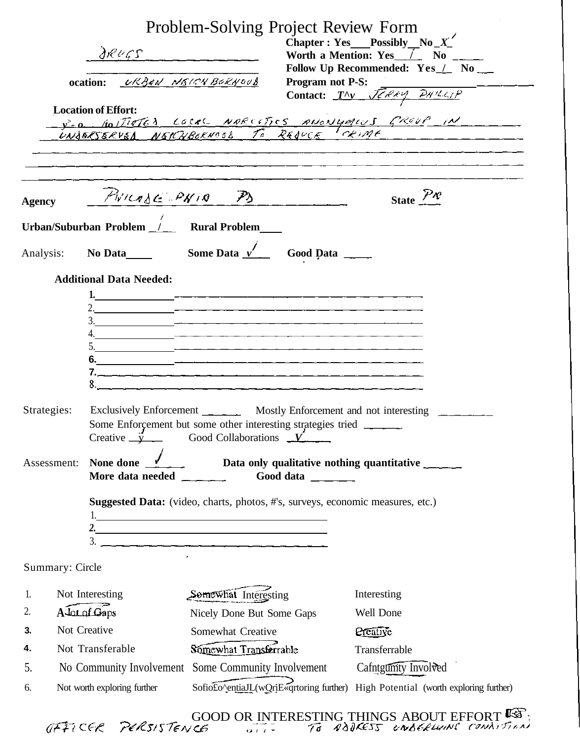|                                                                                                                                                                                                                                    | DRUGS<br>ocation: <i>URBAN NEICH BORNOOS</i><br><b>Location of Effort:</b>     | Problem-Solving Project Review Form         | <b>Program not P-S:</b> | Chapter : Yes Possibly No $X'$<br>Worth a Mention: $Yes$ $\overline{1}$ No $\overline{1}$<br>Follow Up Recommended: Yes / No __<br><b>Program not P-S:</b><br>Contact: $T^{\Lambda}y$ $\overline{\mathcal{J}\epsilon\mathcal{A}\epsilon y}$ $\overline{\mathcal{P}}W/L\epsilon_{\ell}P}$<br><u>- v.o. Hollieter Local NARCETICS ANONYMICS GROUP IN CONSERVED NAMEL CONSERVED NAMEL CONSERVED IN CONSERVED OF REAL CONSERVED OF THE CONSERVED OF THE CONSERVED OF THE CONSERVED OF THE CONSERVED OF THE CONSERVED OF THE CONS</u> |
|------------------------------------------------------------------------------------------------------------------------------------------------------------------------------------------------------------------------------------|--------------------------------------------------------------------------------|---------------------------------------------|-------------------------|----------------------------------------------------------------------------------------------------------------------------------------------------------------------------------------------------------------------------------------------------------------------------------------------------------------------------------------------------------------------------------------------------------------------------------------------------------------------------------------------------------------------------------|
| <b>Agency</b>                                                                                                                                                                                                                      |                                                                                | $P_{W1}$ $P_{W1}$ $P_{W1}$ $P_{W2}$         |                         | State $\mathbb{R}^n$                                                                                                                                                                                                                                                                                                                                                                                                                                                                                                             |
| Urban/Suburban Problem _/___ Rural Problem                                                                                                                                                                                         |                                                                                |                                             |                         |                                                                                                                                                                                                                                                                                                                                                                                                                                                                                                                                  |
| Analysis: No Data $\frac{1}{\sqrt{2}}$ Some Data $\frac{1}{\sqrt{2}}$ Good Data $\frac{1}{\sqrt{2}}$                                                                                                                               |                                                                                |                                             |                         |                                                                                                                                                                                                                                                                                                                                                                                                                                                                                                                                  |
|                                                                                                                                                                                                                                    | <b>Additional Data Needed:</b>                                                 |                                             |                         |                                                                                                                                                                                                                                                                                                                                                                                                                                                                                                                                  |
| Exclusively Enforcement _________ Mostly Enforcement and not interesting ______<br>Strategies:<br>Some Enforcement but some other interesting strategies tried _______<br>Creative $\frac{1}{2}$ Good Collaborations $\frac{V}{2}$ |                                                                                |                                             |                         |                                                                                                                                                                                                                                                                                                                                                                                                                                                                                                                                  |
| None done<br>Assessment:<br>More data needed<br>Good data $\frac{1}{\sqrt{1-\frac{1}{2}}}\$                                                                                                                                        |                                                                                |                                             |                         |                                                                                                                                                                                                                                                                                                                                                                                                                                                                                                                                  |
|                                                                                                                                                                                                                                    | Suggested Data: (video, charts, photos, #'s, surveys, economic measures, etc.) |                                             |                         |                                                                                                                                                                                                                                                                                                                                                                                                                                                                                                                                  |
| Summary: Circle                                                                                                                                                                                                                    |                                                                                |                                             |                         |                                                                                                                                                                                                                                                                                                                                                                                                                                                                                                                                  |
| 1.                                                                                                                                                                                                                                 | Not Interesting                                                                | Somewhat Interesting                        |                         | Interesting                                                                                                                                                                                                                                                                                                                                                                                                                                                                                                                      |
| A Lot of Gaps<br>2.<br>Not Creative                                                                                                                                                                                                |                                                                                | Nicely Done But Some Gaps                   |                         | Well Done                                                                                                                                                                                                                                                                                                                                                                                                                                                                                                                        |
| 3.<br>Not Transferable<br>4.                                                                                                                                                                                                       |                                                                                | Somewhat Creative<br>Somewhat Transferrable |                         | <b>Creative</b><br>Transferrable                                                                                                                                                                                                                                                                                                                                                                                                                                                                                                 |
| 5.                                                                                                                                                                                                                                 | No Community Involvement Some Community Involvement                            |                                             |                         | Cafntgumty Involved                                                                                                                                                                                                                                                                                                                                                                                                                                                                                                              |
| 6.                                                                                                                                                                                                                                 | Not worth exploring further                                                    |                                             |                         | Sofiofo^entialI_(wQrjE«qrtoring further) High Potential (worth exploring further)                                                                                                                                                                                                                                                                                                                                                                                                                                                |

GOOD OR INTERESTING THINGS ABOUT EFFORT LES: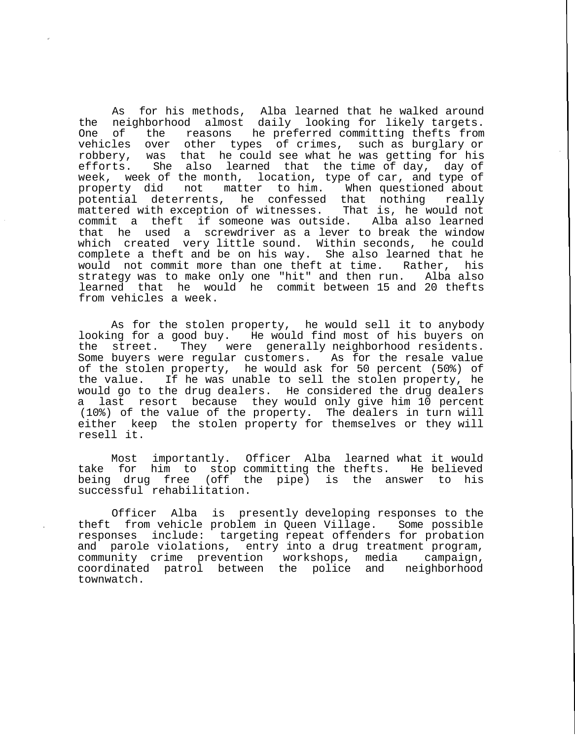As for his methods, Alba learned that he walked around the neighborhood almost daily looking for likely targets. One of the reasons he preferred committing thefts from vehicles over other types of crimes, such as burglary or robbery, was that he could see what he was getting for his efforts. She also learned that the time of day, day of week, week of the month, location, type of car, and type of property did not matter to him. When questioned about potential deterrents, he confessed that nothing really mattered with exception of witnesses. That is, he would not commit a theft if someone was outside. Alba also learned that he used a screwdriver as a lever to break the window which created very little sound. Within seconds, he could complete a theft and be on his way. She also learned that he would not commit more than one theft at time. Rather, his strategy was to make only one "hit" and then run. Alba also learned that he would he commit between 15 and 20 thefts from vehicles a week.

As for the stolen property, he would sell it to anybody looking for a good buy. He would find most of his buyers on the street. They were generally neighborhood residents. Some buyers were regular customers. As for the resale value of the stolen property, he would ask for 50 percent (50%) of the value. If he was unable to sell the stolen property, he would go to the drug dealers. He considered the drug dealers a last resort because they would only give him 10 percent (10%) of the value of the property. The dealers in turn will either keep the stolen property for themselves or they will resell it.

Most importantly. Officer Alba learned what it would<br>for him to stop committing the thefts. He believed take for him to stop committing the thefts. being drug free (off the pipe) is the answer to his successful rehabilitation.

Officer Alba is presently developing responses to the theft from vehicle problem in Queen Village. Some possible responses include: targeting repeat offenders for probation and parole violations, entry into a drug treatment program, community crime prevention workshops, media campaign, coordinated patrol between the police and neighborhood townwatch.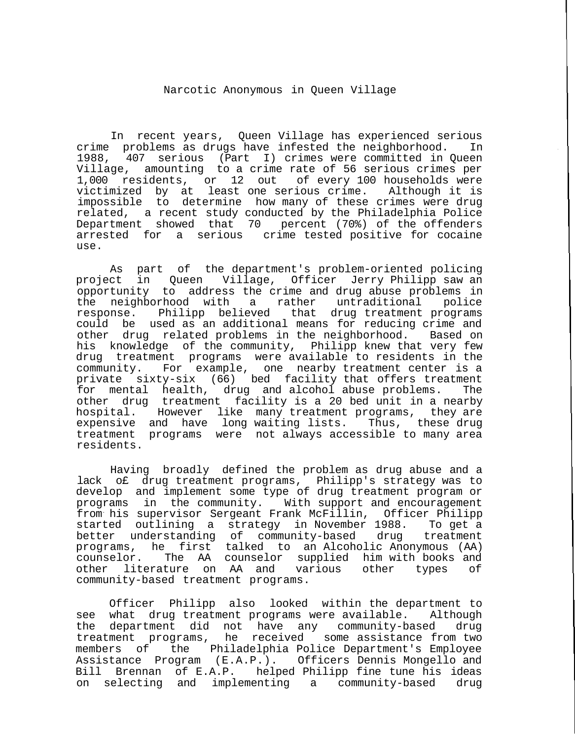## Narcotic Anonymous in Queen Village

In recent years, Queen Village has experienced serious crime problems as drugs have infested the neighborhood. In 1988, 407 serious (Part I) crimes were committed in Queen Village, amounting to a crime rate of 56 serious crimes per 1,000 residents, or 12 out of every 100 households were victimized by at least one serious crime. Although it is impossible to determine how many of these crimes were drug related, a recent study conducted by the Philadelphia Police Department showed that 70 percent (70%) of the offenders arrested for a serious crime tested positive for cocaine use.

As part of the department's problem-oriented policing project in Queen Village, Officer Jerry Philipp saw an opportunity to address the crime and drug abuse problems in<br>the neighborhood with a rather untraditional police the neighborhood with a rather untraditional response. Philipp believed that drug treatment programs could be used as an additional means for reducing crime and other drug related problems in the neighborhood. Based on his knowledge of the community, Philipp knew that very few drug treatment programs were available to residents in the community. For example, one nearby treatment center is a private sixty-six  $(66)$  bed facility that offers treatment for mental health, drug and alcohol abuse problems. The other drug treatment facility is a 20 bed unit in a nearby hospital. However like many treatment programs, they are expensive and have long waiting lists. Thus, these drug treatment programs were not always accessible to many area residents.

Having broadly defined the problem as drug abuse and a lack o£ drug treatment programs, Philipp's strategy was to develop and implement some type of drug treatment program or programs in the community. With support and encouragement from his supervisor Sergeant Frank McFillin, Officer Philipp started outlining a strategy in November 1988. To get a better understanding of community-based drug programs, he first talked to an Alcoholic Anonymous (AA) counselor. The AA counselor supplied him with books and<br>other literature on AA and various other types of other literature on AA and various other types of community-based treatment programs.

Officer Philipp also looked within the department to see what drug treatment programs were available. Although the department did not have any community-based drug treatment programs, he received some assistance from two members of the Philadelphia Police Department's Employee Assistance Program (E.A.P.). Officers Dennis Mongello and Bill Brennan of E.A.P. helped Philipp fine tune his ideas on selecting and implementing a community-based drug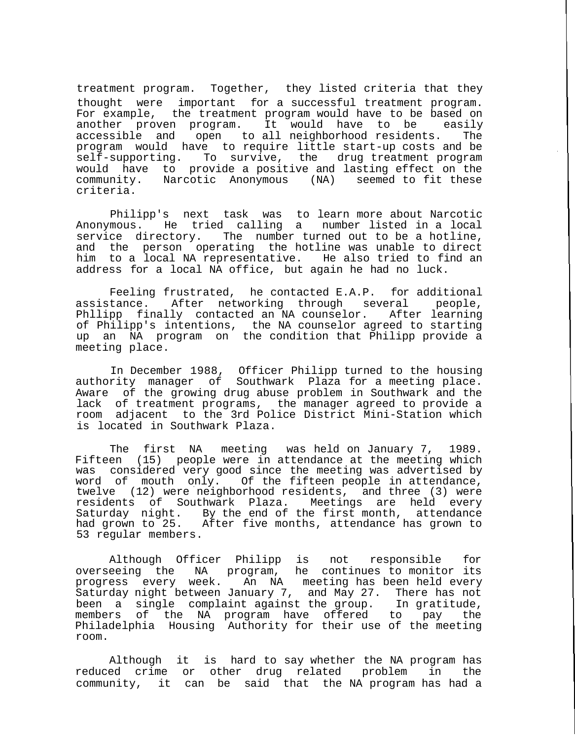treatment program. Together, they listed criteria that they thought were important for a successful treatment program. For example, the treatment program would have to be based on another proven program. It would have to be easily accessible and open to all neighborhood residents. The program would have to require little start-up costs and be self-supporting. To survive, the drug treatment program would have to provide a positive and lasting effect on the community. Narcotic Anonymous (NA) seemed to fit these criteria.

Philipp's next task was to learn more about Narcotic Anonymous. He tried calling a number listed in a local service directory. The number turned out to be a hotline, and the person operating the hotline was unable to direct him to a local NA representative. He also tried to find an address for a local NA office, but again he had no luck.

Feeling frustrated, he contacted E.A.P. for additional assistance. After networking through several people, Phllipp finally contacted an NA counselor. After learning of Philipp's intentions, the NA counselor agreed to starting up an NA program on the condition that Philipp provide a meeting place.

In December 1988, Officer Philipp turned to the housing authority manager of Southwark Plaza for a meeting place. Aware of the growing drug abuse problem in Southwark and the lack of treatment programs, the manager agreed to provide a room adjacent to the 3rd Police District Mini-Station which is located in Southwark Plaza.

The first NA meeting was held on January 7, 1989. Fifteen (15) people were in attendance at the meeting which was considered very good since the meeting was advertised by word of mouth only. Of the fifteen people in attendance, twelve (12) were neighborhood residents, and three (3) were residents of Southwark Plaza. Meetings are held every Saturday night. By the end of the first month, attendance had grown to 25. After five months, attendance has grown to 53 regular members.

Although Officer Philipp is not responsible for overseeing the NA program, he continues to monitor its progress every week. An NA meeting has been held every Saturday night between January 7, and May 27. There has not been a single complaint against the group. In gratitude, members of the NA program have offered to pay the Philadelphia Housing Authority for their use of the meeting room.

Although it is hard to say whether the NA program has reduced crime or other drug related problem in the community, it can be said that the NA program has had a